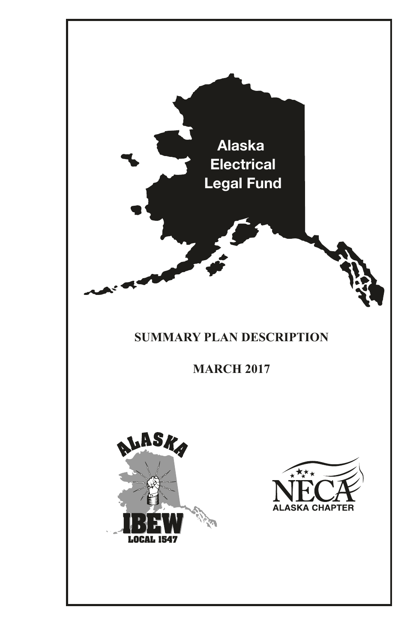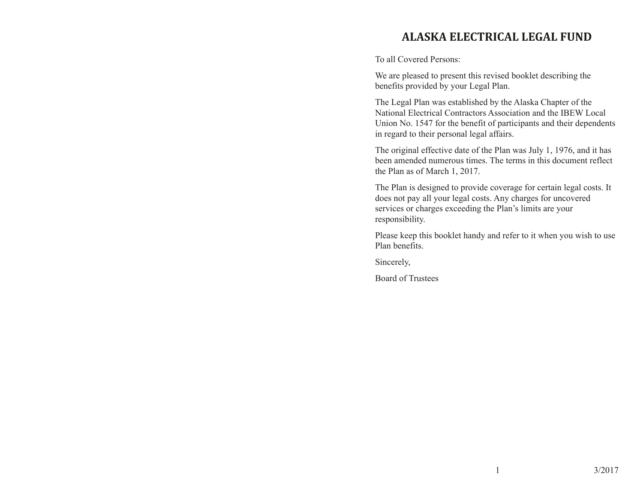# **Alaska Electrical Legal Fund**

To all Covered Persons:

We are pleased to present this revised booklet describing the benefits provided by your Legal Plan.

The Legal Plan was established by the Alaska Chapter of the National Electrical Contractors Association and the IBEW Local Union No. 1547 for the benefit of participants and their dependents in regard to their personal legal affairs.

The original effective date of the Plan was July 1, 1976, and it has been amended numerous times. The terms in this document reflect the Plan as of March 1, 2017.

The Plan is designed to provide coverage for certain legal costs. It does not pay all your legal costs. Any charges for uncovered services or charges exceeding the Plan's limits are your responsibility.

Please keep this booklet handy and refer to it when you wish to use Plan benefits.

Sincerely,

Board of Trustees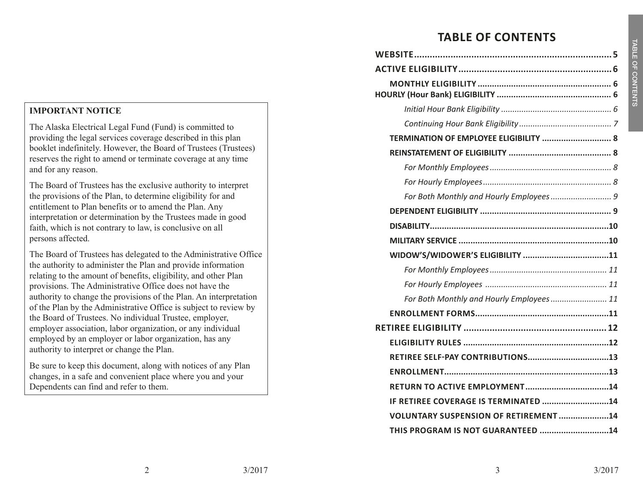# **Table of contents**

| TERMINATION OF EMPLOYEE ELIGIBILITY  8       |
|----------------------------------------------|
|                                              |
|                                              |
|                                              |
| For Both Monthly and Hourly Employees 9      |
|                                              |
|                                              |
|                                              |
|                                              |
|                                              |
|                                              |
|                                              |
| For Both Monthly and Hourly Employees 11     |
|                                              |
|                                              |
|                                              |
|                                              |
|                                              |
|                                              |
| IF RETIREE COVERAGE IS TERMINATED 14         |
| <b>VOLUNTARY SUSPENSION OF RETIREMENT 14</b> |

#### **IMPORTANT NOTICE**

The Alaska Electrical Legal Fund (Fund) is committed to providing the legal services coverage described in this plan booklet indefinitely. However, the Board of Trustees (Trustees) reserves the right to amend or terminate coverage at any time and for any reason.

The Board of Trustees has the exclusive authority to interpret the provisions of the Plan, to determine eligibility for and entitlement to Plan benefits or to amend the Plan. Any interpretation or determination by the Trustees made in good faith, which is not contrary to law, is conclusive on all persons affected.

The Board of Trustees has delegated to the Administrative Office the authority to administer the Plan and provide information relating to the amount of benefits, eligibility, and other Plan provisions. The Administrative Office does not have the authority to change the provisions of the Plan. An interpretation of the Plan by the Administrative Office is subject to review by the Board of Trustees. No individual Trustee, employer, employer association, labor organization, or any individual employed by an employer or labor organization, has any authority to interpret or change the Plan.

Be sure to keep this document, along with notices of any Plan changes, in a safe and convenient place where you and your Dependents can find and refer to them.

Table of Con

ten t s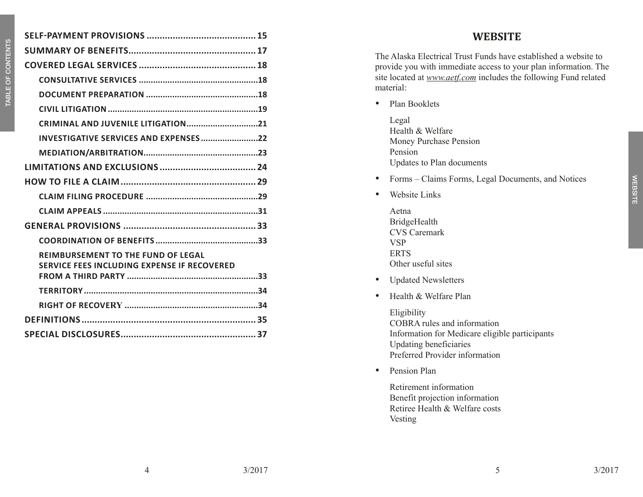| CRIMINAL AND JUVENILE LITIGATION21                                                       |  |
|------------------------------------------------------------------------------------------|--|
| INVESTIGATIVE SERVICES AND EXPENSES22                                                    |  |
|                                                                                          |  |
|                                                                                          |  |
|                                                                                          |  |
|                                                                                          |  |
|                                                                                          |  |
|                                                                                          |  |
|                                                                                          |  |
| <b>REIMBURSEMENT TO THE FUND OF LEGAL</b><br>SERVICE FEES INCLUDING EXPENSE IF RECOVERED |  |
|                                                                                          |  |
|                                                                                          |  |
|                                                                                          |  |
|                                                                                          |  |
|                                                                                          |  |
|                                                                                          |  |

## **WEBSITE**

The Alaska Electrical Trust Funds have established a website to provide you with immediate access to your plan information. The site located at *www.aetf.com* includes the following Fund related material:

- Plan Booklets
	- Legal Health & Welfare Money Purchase Pension Pension Updates to Plan documents
- • Forms Claims Forms, Legal Documents, and Notices
- Website Links
	- Aetna BridgeHealth CVS Caremark VSP ERTS Other useful sites
- • Updated Newsletters
- Health & Welfare Plan

Eligibility COBRA rules and information Information for Medicare eligible participants Updating beneficiaries Preferred Provider information

• Pension Plan

Retirement information Benefit projection information Retiree Health & Welfare costs Vesting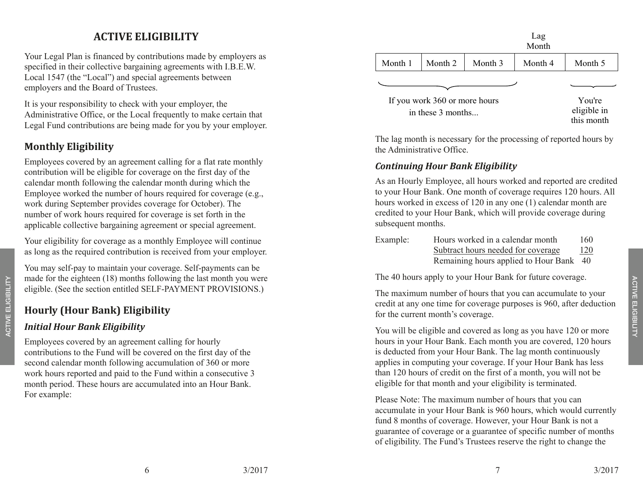# **ACTIVE eligi bility**

Your Legal Plan is financed by contributions made by employers as specified in their collective bargaining agreements with I.B.E.W. Local 1547 (the "Local") and special agreements between employers and the Board of Trustees.

It is your responsibility to check with your employer, the Administrative Office, or the Local frequently to make certain that Legal Fund contributions are being made for you by your employer.

# **Monthly Eligibility**

Employees covered by an agreement calling for a flat rate monthly contribution will be eligible for coverage on the first day of the calendar month following the calendar month during which the Employee worked the number of hours required for coverage (e.g., work during September provides coverage for October). The number of work hours required for coverage is set forth in the applicable collective bargaining agreement or special agreement.

Your eligibility for coverage as a monthly Employee will continue as long as the required contribution is received from your employer.

You may self-pay to maintain your coverage. Self-payments can be made for the eighteen (18) months following the last month you were eligible. (See the section entitled SELF-PAYMENT PROVISIONS.)

## **Hourly (Hour Bank) Eligibility**

#### *Initial Hour Bank Eligibility*

active eligibility

ACTIVE ELIGIBILITY

Employees covered by an agreement calling for hourly contributions to the Fund will be covered on the first day of the second calendar month following accumulation of 360 or more work hours reported and paid to the Fund within a consecutive 3 month period. These hours are accumulated into an Hour Bank. For example:

| Lag<br>Month      |         |         |         |
|-------------------|---------|---------|---------|
| Month 1   Month 2 | Month 3 | Month 4 | Month 5 |
|                   |         |         |         |

If you work 360 or more hours in these 3 months...

You're eligible in this month

The lag month is necessary for the processing of reported hours by the Administrative Office.

#### *Continuing Hour Bank Eligibility*

As an Hourly Employee, all hours worked and reported are credited to your Hour Bank. One month of coverage requires 120 hours. All hours worked in excess of 120 in any one (1) calendar month are credited to your Hour Bank, which will provide coverage during subsequent months.

| Example: | Hours worked in a calendar month        | 160 |
|----------|-----------------------------------------|-----|
|          | Subtract hours needed for coverage      | 120 |
|          | Remaining hours applied to Hour Bank 40 |     |

The 40 hours apply to your Hour Bank for future coverage.

The maximum number of hours that you can accumulate to your credit at any one time for coverage purposes is 960, after deduction for the current month's coverage.

You will be eligible and covered as long as you have 120 or more hours in your Hour Bank. Each month you are covered, 120 hours is deducted from your Hour Bank. The lag month continuously applies in computing your coverage. If your Hour Bank has less than 120 hours of credit on the first of a month, you will not be eligible for that month and your eligibility is terminated.

Please Note: The maximum number of hours that you can accumulate in your Hour Bank is 960 hours, which would currently fund 8 months of coverage. However, your Hour Bank is not a guarantee of coverage or a guarantee of specific number of months of eligibility. The Fund's Trustees reserve the right to change the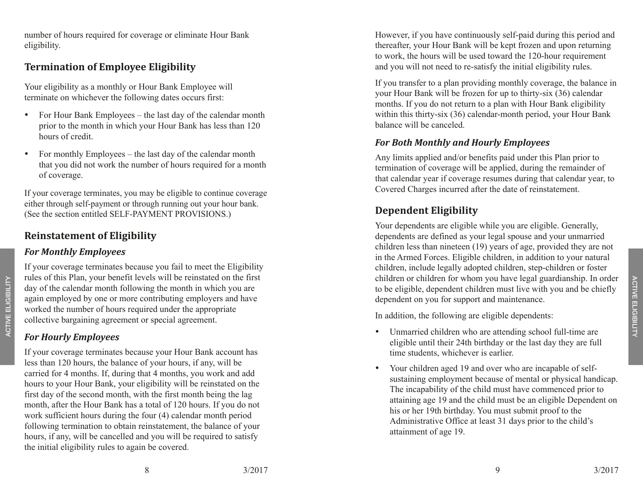number of hours required for coverage or eliminate Hour Bank eligibility.

## **Termination of Employee Eligibility**

Your eligibility as a monthly or Hour Bank Employee will terminate on whichever the following dates occurs first:

- For Hour Bank Employees the last day of the calendar month prior to the month in which your Hour Bank has less than 120 hours of credit.
- For monthly Employees the last day of the calendar month that you did not work the number of hours required for a month of coverage.

If your coverage terminates, you may be eligible to continue coverage either through self-payment or through running out your hour bank. (See the section entitled SELF-PAYMENT PROVISIONS.)

# **Reinstatement of Eligibility**

#### *For Monthly Employees*

If your coverage terminates because you fail to meet the Eligibility rules of this Plan, your benefit levels will be reinstated on the first day of the calendar month following the month in which you are again employed by one or more contributing employers and have worked the number of hours required under the appropriate collective bargaining agreement or special agreement.

## *For Hourly Employees*

active eligibility

ACTIVE ELIGIBILITY

If your coverage terminates because your Hour Bank account has less than 120 hours, the balance of your hours, if any, will be carried for 4 months. If, during that 4 months, you work and add hours to your Hour Bank, your eligibility will be reinstated on the first day of the second month, with the first month being the lag month, after the Hour Bank has a total of 120 hours. If you do not work sufficient hours during the four (4) calendar month period following termination to obtain reinstatement, the balance of your hours, if any, will be cancelled and you will be required to satisfy the initial eligibility rules to again be covered.

However, if you have continuously self-paid during this period and thereafter, your Hour Bank will be kept frozen and upon returning to work, the hours will be used toward the 120-hour requirement and you will not need to re-satisfy the initial eligibility rules.

If you transfer to a plan providing monthly coverage, the balance in your Hour Bank will be frozen for up to thirty-six (36) calendar months. If you do not return to a plan with Hour Bank eligibility within this thirty-six (36) calendar-month period, your Hour Bank balance will be canceled.

#### *For Both Monthly and Hourly Employees*

Any limits applied and/or benefits paid under this Plan prior to termination of coverage will be applied, during the remainder of that calendar year if coverage resumes during that calendar year, to Covered Charges incurred after the date of reinstatement.

# **Dependent Eligibility**

Your dependents are eligible while you are eligible. Generally, dependents are defined as your legal spouse and your unmarried children less than nineteen (19) years of age, provided they are not in the Armed Forces. Eligible children, in addition to your natural children, include legally adopted children, step-children or foster children or children for whom you have legal guardianship. In order to be eligible, dependent children must live with you and be chiefly dependent on you for support and maintenance.

In addition, the following are eligible dependents:

- Unmarried children who are attending school full-time are eligible until their 24th birthday or the last day they are full time students, whichever is earlier.
- Your children aged 19 and over who are incapable of selfsustaining employment because of mental or physical handicap. The incapability of the child must have commenced prior to attaining age 19 and the child must be an eligible Dependent on his or her 19th birthday. You must submit proof to the Administrative Office at least 31 days prior to the child's attainment of age 19.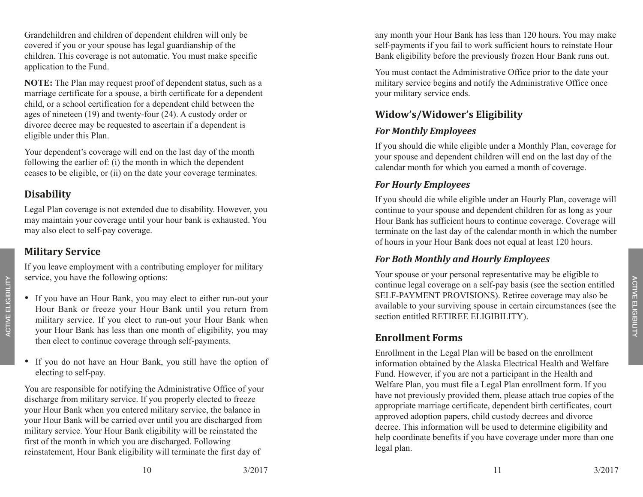Grandchildren and children of dependent children will only be covered if you or your spouse has legal guardianship of the children. This coverage is not automatic. You must make specific application to the Fund.

**NOTE:** The Plan may request proof of dependent status, such as a marriage certificate for a spouse, a birth certificate for a dependent child, or a school certification for a dependent child between the ages of nineteen (19) and twenty-four (24). A custody order or divorce decree may be requested to ascertain if a dependent is eligible under this Plan.

Your dependent's coverage will end on the last day of the month following the earlier of: (i) the month in which the dependent ceases to be eligible, or (ii) on the date your coverage terminates.

## **Disability**

Legal Plan coverage is not extended due to disability. However, you may maintain your coverage until your hour bank is exhausted. You may also elect to self-pay coverage.

## **Military Service**

If you leave employment with a contributing employer for military service, you have the following options:

- If you have an Hour Bank, you may elect to either run-out your Hour Bank or freeze your Hour Bank until you return from military service. If you elect to run-out your Hour Bank when your Hour Bank has less than one month of eligibility, you may then elect to continue coverage through self-payments.
- If you do not have an Hour Bank, you still have the option of electing to self-pay.

You are responsible for notifying the Administrative Office of your discharge from military service. If you properly elected to freeze your Hour Bank when you entered military service, the balance in your Hour Bank will be carried over until you are discharged from military service. Your Hour Bank eligibility will be reinstated the first of the month in which you are discharged. Following reinstatement, Hour Bank eligibility will terminate the first day of

any month your Hour Bank has less than 120 hours. You may make self-payments if you fail to work sufficient hours to reinstate Hour Bank eligibility before the previously frozen Hour Bank runs out.

You must contact the Administrative Office prior to the date your military service begins and notify the Administrative Office once your military service ends.

# **Widow's/Widower's Eligibility**

## *For Monthly Employees*

If you should die while eligible under a Monthly Plan, coverage for your spouse and dependent children will end on the last day of the calendar month for which you earned a month of coverage.

#### *For Hourly Employees*

If you should die while eligible under an Hourly Plan, coverage will continue to your spouse and dependent children for as long as your Hour Bank has sufficient hours to continue coverage. Coverage will terminate on the last day of the calendar month in which the number of hours in your Hour Bank does not equal at least 120 hours.

## *For Both Monthly and Hourly Employees*

Your spouse or your personal representative may be eligible to continue legal coverage on a self-pay basis (see the section entitled SELF-PAYMENT PROVISIONS). Retiree coverage may also be available to your surviving spouse in certain circumstances (see the section entitled RETIREE ELIGIBILITY).

## **Enrollment Forms**

Enrollment in the Legal Plan will be based on the enrollment information obtained by the Alaska Electrical Health and Welfare Fund. However, if you are not a participant in the Health and Welfare Plan, you must file a Legal Plan enrollment form. If you have not previously provided them, please attach true copies of the appropriate marriage certificate, dependent birth certificates, court approved adoption papers, child custody decrees and divorce decree. This information will be used to determine eligibility and help coordinate benefits if you have coverage under more than one legal plan.

active eligibility

**ACTIVE ELIGIBILITY**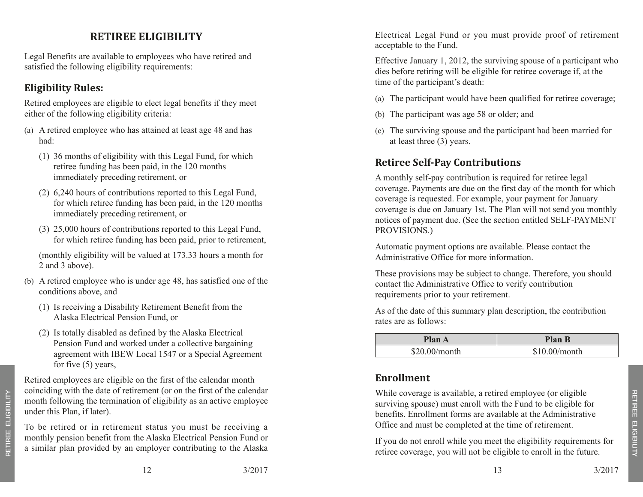# **RETIREE ELIGIBII**

Legal Benefits are available to employees who have retired and satisfied the following eligibility requirements:

# **Eligibility Rules:**

Retired employees are eligible to elect legal benefits if they meet either of the following eligibility criteria:

- (a) A retired employee who has attained at least age 48 and has had:
	- (1) 36 months of eligibility with this Legal Fund, for which retiree funding has been paid, in the 120 months immediately preceding retirement, or
	- (2) 6,240 hours of contributions reported to this Legal Fund, for which retiree funding has been paid, in the 120 months immediately preceding retirement, or
	- (3) 25,000 hours of contributions reported to this Legal Fund, for which retiree funding has been paid, prior to retirement,

(monthly eligibility will be valued at 173.33 hours a month for 2 and 3 above).

- (b) A retired employee who is under age 48, has satisfied one of the conditions above, and
	- (1) Is receiving a Disability Retirement Benefit from the Alaska Electrical Pension Fund, or
	- (2) Is totally disabled as defined by the Alaska Electrical Pension Fund and worked under a collective bargaining agreement with IBEW Local 1547 or a Special Agreement for five (5) years,

Retired employees are eligible on the first of the calendar month coinciding with the date of retirement (or on the first of the calendar month following the termination of eligibility as an active employee under this Plan, if later).

To be retired or in retirement status you must be receiving a monthly pension benefit from the Alaska Electrical Pension Fund or a similar plan provided by an employer contributing to the Alaska

Electrical Legal Fund or you must provide proof of retirement acceptable to the Fund.

Effective January 1, 2012, the surviving spouse of a participant who dies before retiring will be eligible for retiree coverage if, at the time of the participant's death:

- (a) The participant would have been qualified for retiree coverage;
- (b) The participant was age 58 or older; and
- (c) The surviving spouse and the participant had been married for at least three (3) years.

# **Retiree Self-Pay Contributions**

A monthly self-pay contribution is required for retiree legal coverage. Payments are due on the first day of the month for which coverage is requested. For example, your payment for January coverage is due on January 1st. The Plan will not send you monthly notices of payment due. (See the section entitled SELF-PAYMENT PROVISIONS.)

Automatic payment options are available. Please contact the Administrative Office for more information.

These provisions may be subject to change. Therefore, you should contact the Administrative Office to verify contribution requirements prior to your retirement.

As of the date of this summary plan description, the contribution rates are as follows:

| <b>Plan A</b> | <b>Plan B</b>   |
|---------------|-----------------|
| \$20.00/month | $$10.00/m$ onth |

## **Enrollment**

While coverage is available, a retired employee (or eligible surviving spouse) must enroll with the Fund to be eligible for benefits. Enrollment forms are available at the Administrative Office and must be completed at the time of retirement.

If you do not enroll while you meet the eligibility requirements for retiree coverage, you will not be eligible to enroll in the future.

retiree eligibility

RETIREE ELIGIBILITY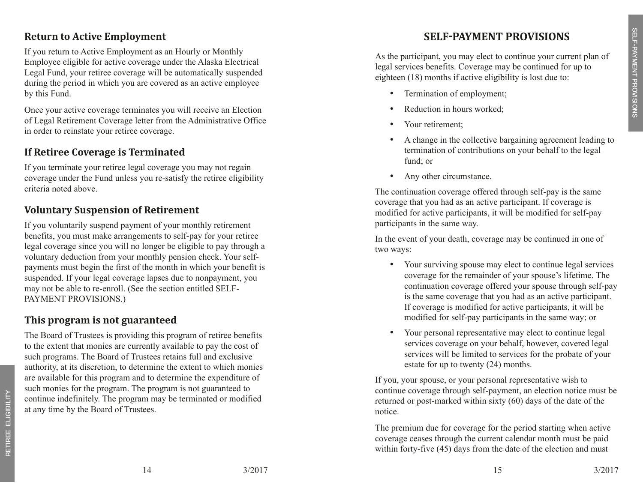#### **Return to Active Employment**

If you return to Active Employment as an Hourly or Monthly Employee eligible for active coverage under the Alaska Electrical Legal Fund, your retiree coverage will be automatically suspended during the period in which you are covered as an active employee by this Fund.

Once your active coverage terminates you will receive an Election of Legal Retirement Coverage letter from the Administrative Office in order to reinstate your retiree coverage.

#### **If Retiree Coverage is Terminated**

If you terminate your retiree legal coverage you may not regain coverage under the Fund unless you re-satisfy the retiree eligibility criteria noted above.

#### **Voluntary Suspension of Retirement**

If you voluntarily suspend payment of your monthly retirement benefits, you must make arrangements to self-pay for your retiree legal coverage since you will no longer be eligible to pay through a voluntary deduction from your monthly pension check. Your selfpayments must begin the first of the month in which your benefit is suspended. If your legal coverage lapses due to nonpayment, you may not be able to re-enroll. (See the section entitled SELF-Payment Provisions.)

## **This program is not guaranteed**

The Board of Trustees is providing this program of retiree benefits to the extent that monies are currently available to pay the cost of such programs. The Board of Trustees retains full and exclusive authority, at its discretion, to determine the extent to which monies are available for this program and to determine the expenditure of such monies for the program. The program is not guaranteed to continue indefinitely. The program may be terminated or modified at any time by the Board of Trustees.

# **Self-Payment Provi sion s**

As the participant, you may elect to continue your current plan of legal services benefits. Coverage may be continued for up to eighteen (18) months if active eligibility is lost due to:

- Termination of employment;
- Reduction in hours worked:
- Your retirement;
- A change in the collective bargaining agreement leading to termination of contributions on your behalf to the legal fund; or
- Any other circumstance.

The continuation coverage offered through self-pay is the same coverage that you had as an active participant. If coverage is modified for active participants, it will be modified for self-pay participants in the same way.

In the event of your death, coverage may be continued in one of two ways:

- Your surviving spouse may elect to continue legal services coverage for the remainder of your spouse's lifetime. The continuation coverage offered your spouse through self-pay is the same coverage that you had as an active participant. If coverage is modified for active participants, it will be modified for self-pay participants in the same way; or
- Your personal representative may elect to continue legal services coverage on your behalf, however, covered legal services will be limited to services for the probate of your estate for up to twenty (24) months.

If you, your spouse, or your personal representative wish to continue coverage through self-payment, an election notice must be returned or post-marked within sixty (60) days of the date of the notice.

The premium due for coverage for the period starting when active coverage ceases through the current calendar month must be paid within forty-five (45) days from the date of the election and must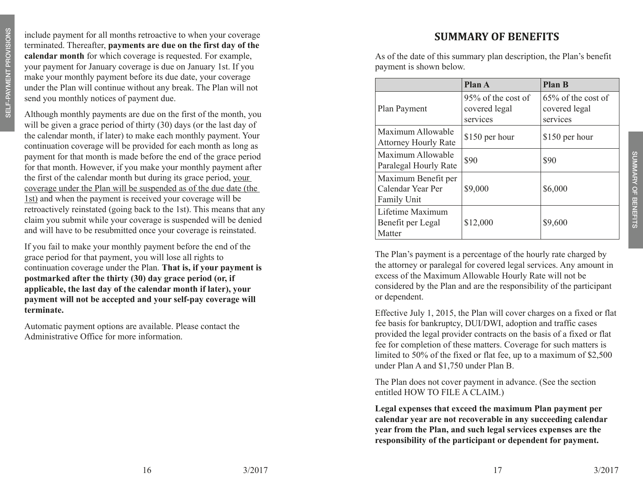include payment for all months retroactive to when your coverage terminated. Thereafter, **payments are due on the first day of the calendar month** for which coverage is requested. For example, your payment for January coverage is due on January 1st. If you make your monthly payment before its due date, your coverage under the Plan will continue without any break. The Plan will not send you monthly notices of payment due.

Although monthly payments are due on the first of the month, you will be given a grace period of thirty (30) days (or the last day of the calendar month, if later) to make each monthly payment. Your continuation coverage will be provided for each month as long as payment for that month is made before the end of the grace period for that month. However, if you make your monthly payment after the first of the calendar month but during its grace period, your coverage under the Plan will be suspended as of the due date (the 1st) and when the payment is received your coverage will be retroactively reinstated (going back to the 1st). This means that any claim you submit while your coverage is suspended will be denied and will have to be resubmitted once your coverage is reinstated.

If you fail to make your monthly payment before the end of the grace period for that payment, you will lose all rights to continuation coverage under the Plan. **That is, if your payment is postmarked after the thirty (30) day grace period (or, if applicable, the last day of the calendar month if later), your payment will not be accepted and your self-pay coverage will terminate.** 

Automatic payment options are available. Please contact the Administrative Office for more information.

## **SUMMARY OF BENEFIT S**

As of the date of this summary plan description, the Plan's benefit payment is shown below.

|                                                         | <b>Plan A</b>                                   | <b>Plan B</b>                                      |
|---------------------------------------------------------|-------------------------------------------------|----------------------------------------------------|
| Plan Payment                                            | 95% of the cost of<br>covered legal<br>services | $65\%$ of the cost of<br>covered legal<br>services |
| Maximum Allowable<br><b>Attorney Hourly Rate</b>        | \$150 per hour                                  | \$150 per hour                                     |
| Maximum Allowable<br>Paralegal Hourly Rate              | \$90                                            | \$90                                               |
| Maximum Benefit per<br>Calendar Year Per<br>Family Unit | \$9,000                                         | \$6,000                                            |
| Lifetime Maximum<br>Benefit per Legal<br>Matter         | \$12,000                                        | \$9,600                                            |

The Plan's payment is a percentage of the hourly rate charged by the attorney or paralegal for covered legal services. Any amount in excess of the Maximum Allowable Hourly Rate will not be considered by the Plan and are the responsibility of the participant or dependent.

Effective July 1, 2015, the Plan will cover charges on a fixed or flat fee basis for bankruptcy, DUI/DWI, adoption and traffic cases provided the legal provider contracts on the basis of a fixed or flat fee for completion of these matters. Coverage for such matters is limited to 50% of the fixed or flat fee, up to a maximum of \$2,500 under Plan A and \$1,750 under Plan B.

The Plan does not cover payment in advance. (See the section entitled HOW TO FILE A CLAIM.)

**Legal expenses that exceed the maximum Plan payment per calendar year are not recoverable in any succeeding calendar year from the Plan, and such legal services expenses are the responsibility of the participant or dependent for payment.**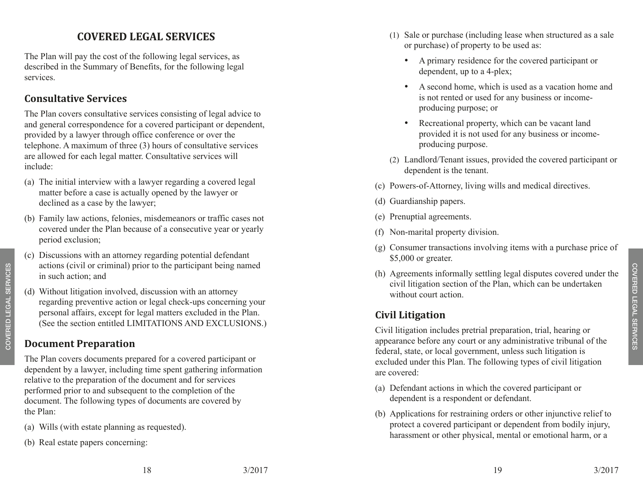# **covered legal service s**

The Plan will pay the cost of the following legal services, as described in the Summary of Benefits, for the following legal services.

## **Consultative Services**

The Plan covers consultative services consisting of legal advice to and general correspondence for a covered participant or dependent, provided by a lawyer through office conference or over the telephone. A maximum of three (3) hours of consultative services are allowed for each legal matter. Consultative services will include:

- (a) The initial interview with a lawyer regarding a covered legal matter before a case is actually opened by the lawyer or declined as a case by the lawyer;
- (b) Family law actions, felonies, misdemeanors or traffic cases not covered under the Plan because of a consecutive year or yearly period exclusion;
- (c) Discussions with an attorney regarding potential defendant actions (civil or criminal) prior to the participant being named in such action; and
- (d) Without litigation involved, discussion with an attorney regarding preventive action or legal check-ups concerning your personal affairs, except for legal matters excluded in the Plan. (See the section entitled LIMITATIONS AND EXCLUSIONS.)

## **Document Preparation**

The Plan covers documents prepared for a covered participant or dependent by a lawyer, including time spent gathering information relative to the preparation of the document and for services performed prior to and subsequent to the completion of the document. The following types of documents are covered by the Plan:

- (a) Wills (with estate planning as requested).
- (b) Real estate papers concerning:
- (1) Sale or purchase (including lease when structured as a sale or purchase) of property to be used as:
	- • A primary residence for the covered participant or dependent, up to a 4-plex;
	- A second home, which is used as a vacation home and is not rented or used for any business or incomeproducing purpose; or
	- Recreational property, which can be vacant land provided it is not used for any business or incomeproducing purpose.
- (2) Landlord/Tenant issues, provided the covered participant or dependent is the tenant.
- (c) Powers-of-Attorney, living wills and medical directives.
- (d) Guardianship papers.
- (e) Prenuptial agreements.
- (f) Non-marital property division.
- (g) Consumer transactions involving items with a purchase price of \$5,000 or greater.
- (h) Agreements informally settling legal disputes covered under the civil litigation section of the Plan, which can be undertaken without court action.

# **Civil Litigation**

Civil litigation includes pretrial preparation, trial, hearing or appearance before any court or any administrative tribunal of the federal, state, or local government, unless such litigation is excluded under this Plan. The following types of civil litigation are covered:

- (a) Defendant actions in which the covered participant or dependent is a respondent or defendant.
- (b) Applications for restraining orders or other injunctive relief to protect a covered participant or dependent from bodily injury, harassment or other physical, mental or emotional harm, or a

covered legal services

COVERED LEGAL SERVICES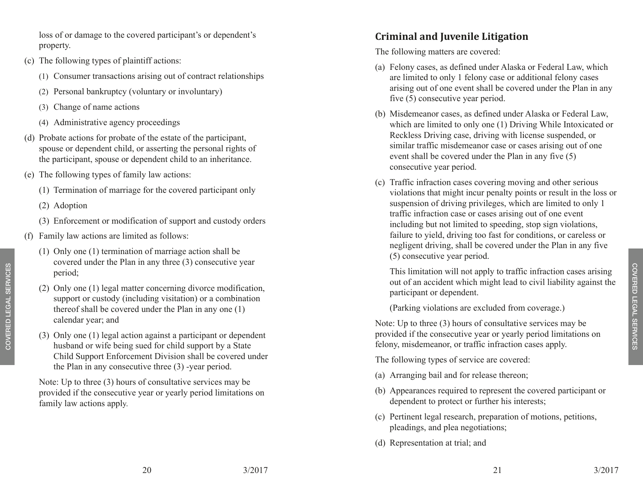loss of or damage to the covered participant's or dependent's property.

- (c) The following types of plaintiff actions:
	- (1) Consumer transactions arising out of contract relationships
	- (2) Personal bankruptcy (voluntary or involuntary)
	- (3) Change of name actions
	- (4) Administrative agency proceedings
- (d) Probate actions for probate of the estate of the participant, spouse or dependent child, or asserting the personal rights of the participant, spouse or dependent child to an inheritance.
- (e) The following types of family law actions:
	- (1) Termination of marriage for the covered participant only
	- (2) Adoption
	- (3) Enforcement or modification of support and custody orders
- (f) Family law actions are limited as follows:
	- (1) Only one (1) termination of marriage action shall be covered under the Plan in any three (3) consecutive year period;
	- (2) Only one (1) legal matter concerning divorce modification, support or custody (including visitation) or a combination thereof shall be covered under the Plan in any one (1) calendar year; and
	- (3) Only one (1) legal action against a participant or dependent husband or wife being sued for child support by a State Child Support Enforcement Division shall be covered under the Plan in any consecutive three (3) -year period.

Note: Up to three (3) hours of consultative services may be provided if the consecutive year or yearly period limitations on family law actions apply.

## **Criminal and Juvenile Litigation**

The following matters are covered:

- (a) Felony cases, as defined under Alaska or Federal Law, which are limited to only 1 felony case or additional felony cases arising out of one event shall be covered under the Plan in any five (5) consecutive year period.
- (b) Misdemeanor cases, as defined under Alaska or Federal Law, which are limited to only one (1) Driving While Intoxicated or Reckless Driving case, driving with license suspended, or similar traffic misdemeanor case or cases arising out of one event shall be covered under the Plan in any five (5) consecutive year period.
- (c) Traffic infraction cases covering moving and other serious violations that might incur penalty points or result in the loss or suspension of driving privileges, which are limited to only 1 traffic infraction case or cases arising out of one event including but not limited to speeding, stop sign violations, failure to yield, driving too fast for conditions, or careless or negligent driving, shall be covered under the Plan in any five (5) consecutive year period.

This limitation will not apply to traffic infraction cases arising out of an accident which might lead to civil liability against the participant or dependent.

(Parking violations are excluded from coverage.)

Note: Up to three (3) hours of consultative services may be provided if the consecutive year or yearly period limitations on felony, misdemeanor, or traffic infraction cases apply.

The following types of service are covered:

- (a) Arranging bail and for release thereon;
- (b) Appearances required to represent the covered participant or dependent to protect or further his interests;
- (c) Pertinent legal research, preparation of motions, petitions, pleadings, and plea negotiations;
- (d) Representation at trial; and

covered legal services

COVERED LEGAL SERVICES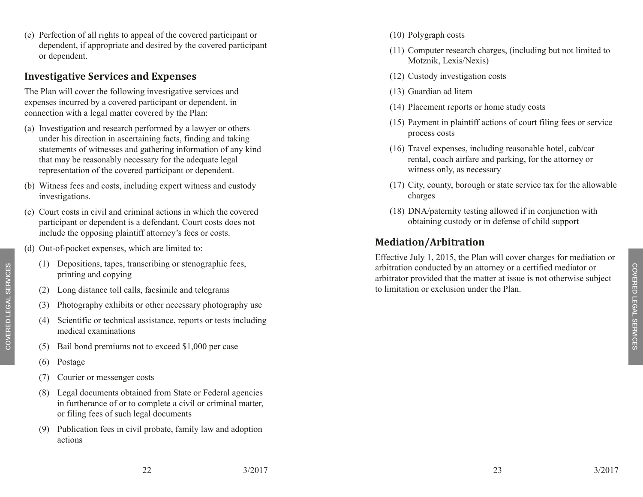(e) Perfection of all rights to appeal of the covered participant or dependent, if appropriate and desired by the covered participant or dependent.

#### **Investigative Services and Expenses**

The Plan will cover the following investigative services and expenses incurred by a covered participant or dependent, in connection with a legal matter covered by the Plan:

- (a) Investigation and research performed by a lawyer or others under his direction in ascertaining facts, finding and taking statements of witnesses and gathering information of any kind that may be reasonably necessary for the adequate legal representation of the covered participant or dependent.
- (b) Witness fees and costs, including expert witness and custody investigations.
- (c) Court costs in civil and criminal actions in which the covered participant or dependent is a defendant. Court costs does not include the opposing plaintiff attorney's fees or costs.
- (d) Out-of-pocket expenses, which are limited to:
	- (1) Depositions, tapes, transcribing or stenographic fees, printing and copying
	- (2) Long distance toll calls, facsimile and telegrams
	- (3) Photography exhibits or other necessary photography use
	- (4) Scientific or technical assistance, reports or tests including medical examinations
	- (5) Bail bond premiums not to exceed \$1,000 per case
	- (6) Postage

covered legal servi COVERED LEGAL SERVICES

- (7) Courier or messenger costs
- (8) Legal documents obtained from State or Federal agencies in furtherance of or to complete a civil or criminal matter, or filing fees of such legal documents
- (9) Publication fees in civil probate, family law and adoption actions
- (10) Polygraph costs
- (11) Computer research charges, (including but not limited to Motznik, Lexis/Nexis)
- (12) Custody investigation costs
- (13) Guardian ad litem
- (14) Placement reports or home study costs
- (15) Payment in plaintiff actions of court filing fees or service process costs
- (16) Travel expenses, including reasonable hotel, cab/car rental, coach airfare and parking, for the attorney or witness only, as necessary
- (17) City, county, borough or state service tax for the allowable charges
- (18) DNA/paternity testing allowed if in conjunction with obtaining custody or in defense of child support

## **Mediation/Arbitration**

Effective July 1, 2015, the Plan will cover charges for mediation or arbitration conducted by an attorney or a certified mediator or arbitrator provided that the matter at issue is not otherwise subject to limitation or exclusion under the Plan.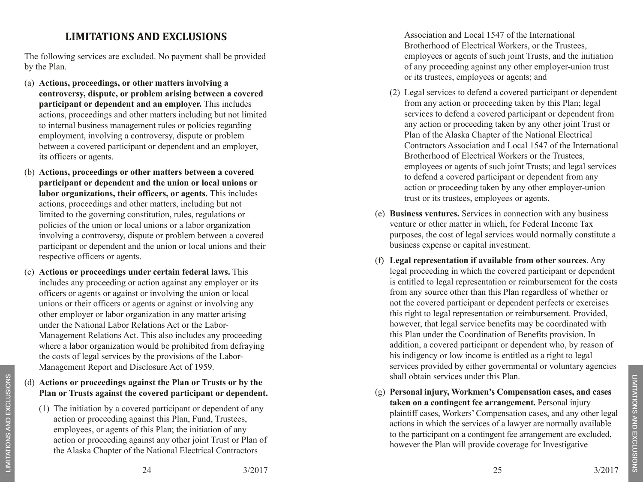## **LIMITATIONS AND Exclusion s**

The following services are excluded. No payment shall be provided by the Plan.

- (a) **Actions, proceedings, or other matters involving a controversy, dispute, or problem arising between a covered participant or dependent and an employer.** This includes actions, proceedings and other matters including but not limited to internal business management rules or policies regarding employment, involving a controversy, dispute or problem between a covered participant or dependent and an employer, its officers or agents.
- (b) **Actions, proceedings or other matters between a covered participant or dependent and the union or local unions or labor organizations, their officers, or agents.** This includes actions, proceedings and other matters, including but not limited to the governing constitution, rules, regulations or policies of the union or local unions or a labor organization involving a controversy, dispute or problem between a covered participant or dependent and the union or local unions and their respective officers or agents.
- (c) **Actions or proceedings under certain federal laws.** This includes any proceeding or action against any employer or its officers or agents or against or involving the union or local unions or their officers or agents or against or involving any other employer or labor organization in any matter arising under the National Labor Relations Act or the Labor-Management Relations Act. This also includes any proceeding where a labor organization would be prohibited from defraying the costs of legal services by the provisions of the Labor-Management Report and Disclosure Act of 1959.
- (d) **Actions or proceedings against the Plan or Trusts or by the Plan or Trusts against the covered participant or dependent.** 
	- (1) The initiation by a covered participant or dependent of any action or proceeding against this Plan, Fund, Trustees, employees, or agents of this Plan; the initiation of any action or proceeding against any other joint Trust or Plan of the Alaska Chapter of the National Electrical Contractors

Association and Local 1547 of the International Brotherhood of Electrical Workers, or the Trustees, employees or agents of such joint Trusts, and the initiation of any proceeding against any other employer-union trust or its trustees, employees or agents; and

- (2) Legal services to defend a covered participant or dependent from any action or proceeding taken by this Plan; legal services to defend a covered participant or dependent from any action or proceeding taken by any other joint Trust or Plan of the Alaska Chapter of the National Electrical Contractors Association and Local 1547 of the International Brotherhood of Electrical Workers or the Trustees, employees or agents of such joint Trusts; and legal services to defend a covered participant or dependent from any action or proceeding taken by any other employer-union trust or its trustees, employees or agents.
- (e) **Business ventures.** Services in connection with any business venture or other matter in which, for Federal Income Tax purposes, the cost of legal services would normally constitute a business expense or capital investment.
- (f) **Legal representation if available from other sources**. Any legal proceeding in which the covered participant or dependent is entitled to legal representation or reimbursement for the costs from any source other than this Plan regardless of whether or not the covered participant or dependent perfects or exercises this right to legal representation or reimbursement. Provided, however, that legal service benefits may be coordinated with this Plan under the Coordination of Benefits provision. In addition, a covered participant or dependent who, by reason of his indigency or low income is entitled as a right to legal services provided by either governmental or voluntary agencies shall obtain services under this Plan.
- (g) **Personal injury, Workmen's Compensation cases, and cases taken on a contingent fee arrangement.** Personal injury plaintiff cases, Workers' Compensation cases, and any other legal actions in which the services of a lawyer are normally available to the participant on a contingent fee arrangement are excluded, however the Plan will provide coverage for Investigative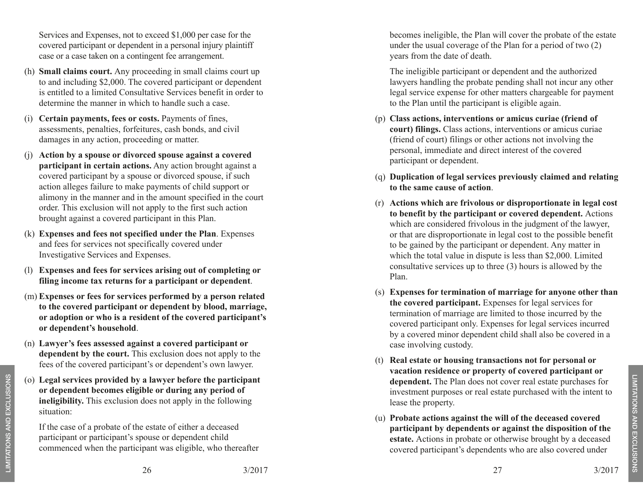Services and Expenses, not to exceed \$1,000 per case for the covered participant or dependent in a personal injury plaintiff case or a case taken on a contingent fee arrangement.

- (h) **Small claims court.** Any proceeding in small claims court up to and including \$2,000. The covered participant or dependent is entitled to a limited Consultative Services benefit in order to determine the manner in which to handle such a case.
- (i) **Certain payments, fees or costs.** Payments of fines, assessments, penalties, forfeitures, cash bonds, and civil damages in any action, proceeding or matter.
- (j) **Action by a spouse or divorced spouse against a covered participant in certain actions.** Any action brought against a covered participant by a spouse or divorced spouse, if such action alleges failure to make payments of child support or alimony in the manner and in the amount specified in the court order. This exclusion will not apply to the first such action brought against a covered participant in this Plan.
- (k) **Expenses and fees not specified under the Plan**. Expenses and fees for services not specifically covered under Investigative Services and Expenses.
- (l) **Expenses and fees for services arising out of completing or filing income tax returns for a participant or dependent** .
- (m) **Expenses or fees for services performed by a person related to the covered participant or dependent by blood, marriage, or adoption or who is a resident of the covered participant's or dependent's household** .
- (n) **Lawyer's fees assessed against a covered participant or dependent by the court.** This exclusion does not apply to the fees of the covered participant's or dependent's own lawyer.
- (o) **Legal services provided by a lawyer before the participant or dependent becomes eligible or during any period of ineligibility.** This exclusion does not apply in the following situation:

If the case of a probate of the estate of either a deceased participant or participant's spouse or dependent child commenced when the participant was eligible, who thereafter becomes ineligible, the Plan will cover the probate of the estate under the usual coverage of the Plan for a period of two (2) years from the date of death.

The ineligible participant or dependent and the authorized lawyers handling the probate pending shall not incur any other legal service expense for other matters chargeable for payment to the Plan until the participant is eligible again.

- (p) **Class actions, interventions or amicus curiae (friend of court) filings.** Class actions, interventions or amicus curiae (friend of court) filings or other actions not involving the personal, immediate and direct interest of the covered participant or dependent.
- (q) **Duplication of legal services previously claimed and relating to the same cause of action** .
- (r) **Actions which are frivolous or disproportionate in legal cost to benefit by the participant or covered dependent.** Actions which are considered frivolous in the judgment of the lawyer, or that are disproportionate in legal cost to the possible benefit to be gained by the participant or dependent. Any matter in which the total value in dispute is less than \$2,000. Limited consultative services up to three (3) hours is allowed by the Plan.
- (s) **Expenses for termination of marriage for anyone other than the covered participant.** Expenses for legal services for termination of marriage are limited to those incurred by the covered participant only. Expenses for legal services incurred by a covered minor dependent child shall also be covered in a case involving custody.
- (t) **Real estate or housing transactions not for personal or vacation residence or property of covered participant or dependent.** The Plan does not cover real estate purchases for investment purposes or real estate purchased with the intent to lease the property.
- (u) **Probate actions against the will of the deceased covered participant by dependents or against the disposition of the estate.** Actions in probate or otherwise brought by a deceased covered participant's dependents who are also covered under

limitations and exclusions

LIMITATIONS AND EXCLUSIONS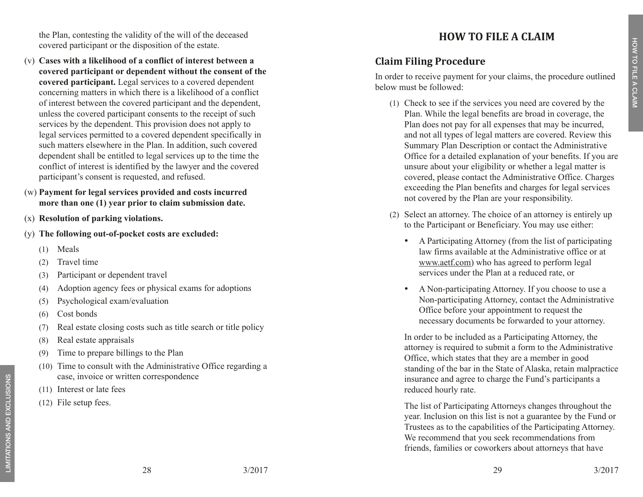the Plan, contesting the validity of the will of the deceased covered participant or the disposition of the estate.

- (v) **Cases with a likelihood of a conflict of interest between a covered participant or dependent without the consent of the covered participant.** Legal services to a covered dependent concerning matters in which there is a likelihood of a conflict of interest between the covered participant and the dependent, unless the covered participant consents to the receipt of such services by the dependent. This provision does not apply to legal services permitted to a covered dependent specifically in such matters elsewhere in the Plan. In addition, such covered dependent shall be entitled to legal services up to the time the conflict of interest is identified by the lawyer and the covered participant's consent is requested, and refused.
- (w) **Payment for legal services provided and costs incurred more than one (1) year prior to claim submission date.**
- (x) **Resolution of parking violations.**
- (y) **The following out-of-pocket costs are excluded:**
	- (1) Meals
	- (2) Travel time
	- (3) Participant or dependent travel
	- (4) Adoption agency fees or physical exams for adoptions
	- (5) Psychological exam/evaluation
	- (6) Cost bonds
	- (7) Real estate closing costs such as title search or title policy
	- (8) Real estate appraisals
	- (9) Time to prepare billings to the Plan
	- (10) Time to consult with the Administrative Office regarding a case, invoice or written correspondence
	- (11) Interest or late fees
	- (12) File setup fees.

# **how to file a claim**

# **Claim Filing Procedure**

In order to receive payment for your claims, the procedure outlined below must be followed:

- (1) Check to see if the services you need are covered by the Plan. While the legal benefits are broad in coverage, the Plan does not pay for all expenses that may be incurred, and not all types of legal matters are covered. Review this Summary Plan Description or contact the Administrative Office for a detailed explanation of your benefits. If you are unsure about your eligibility or whether a legal matter is covered, please contact the Administrative Office. Charges exceeding the Plan benefits and charges for legal services not covered by the Plan are your responsibility.
- (2) Select an attorney. The choice of an attorney is entirely up to the Participant or Beneficiary. You may use either:
	- A Participating Attorney (from the list of participating law firms available at the Administrative office or at www.aetf.com) who has agreed to perform legal services under the Plan at a reduced rate, or
	- A Non-participating Attorney. If you choose to use a Non-participating Attorney, contact the Administrative Office before your appointment to request the necessary documents be forwarded to your attorney.

In order to be included as a Participating Attorney, the attorney is required to submit a form to the Administrative Office, which states that they are a member in good standing of the bar in the State of Alaska, retain malpractice insurance and agree to charge the Fund's participants a reduced hourly rate.

The list of Participating Attorneys changes throughout the year. Inclusion on this list is not a guarantee by the Fund or Trustees as to the capabilities of the Participating Attorney. We recommend that you seek recommendations from friends, families or coworkers about attorneys that have

how to file a claim

HOW TO FILE A CLAIM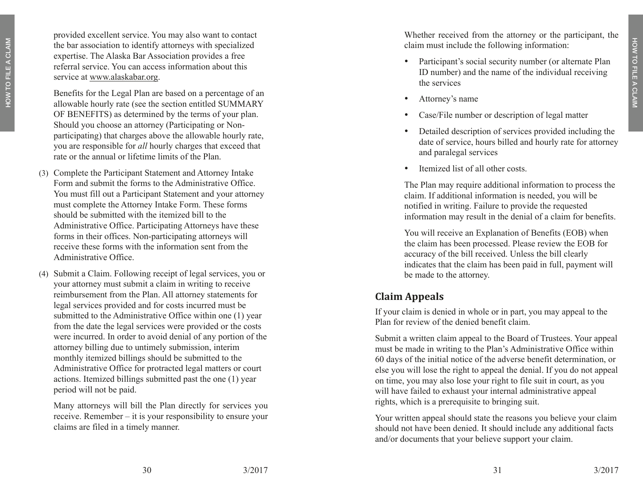provided excellent service. You may also want to contact the bar association to identify attorneys with specialized expertise. The Alaska Bar Association provides a free referral service. You can access information about this service at www.alaskabar.org.

Benefits for the Legal Plan are based on a percentage of an allowable hourly rate (see the section entitled SUMMARY OF BENEFITS) as determined by the terms of your plan. Should you choose an attorney (Participating or Nonparticipating) that charges above the allowable hourly rate, you are responsible for *all* hourly charges that exceed that rate or the annual or lifetime limits of the Plan.

- (3) Complete the Participant Statement and Attorney Intake Form and submit the forms to the Administrative Office. You must fill out a Participant Statement and your attorney must complete the Attorney Intake Form. These forms should be submitted with the itemized bill to the Administrative Office. Participating Attorneys have these forms in their offices. Non-participating attorneys will receive these forms with the information sent from the Administrative Office.
- (4) Submit a Claim. Following receipt of legal services, you or your attorney must submit a claim in writing to receive reimbursement from the Plan. All attorney statements for legal services provided and for costs incurred must be submitted to the Administrative Office within one (1) year from the date the legal services were provided or the costs were incurred. In order to avoid denial of any portion of the attorney billing due to untimely submission, interim monthly itemized billings should be submitted to the Administrative Office for protracted legal matters or court actions. Itemized billings submitted past the one (1) year period will not be paid.

Many attorneys will bill the Plan directly for services you receive. Remember – it is your responsibility to ensure your claims are filed in a timely manner.

Whether received from the attorney or the participant, the claim must include the following information:

- Participant's social security number (or alternate Plan ID number) and the name of the individual receiving the services
- Attorney's name
- Case/File number or description of legal matter
- Detailed description of services provided including the date of service, hours billed and hourly rate for attorney and paralegal services
- Itemized list of all other costs.

The Plan may require additional information to process the claim. If additional information is needed, you will be notified in writing. Failure to provide the requested information may result in the denial of a claim for benefits.

You will receive an Explanation of Benefits (EOB) when the claim has been processed. Please review the EOB for accuracy of the bill received. Unless the bill clearly indicates that the claim has been paid in full, payment will be made to the attorney.

## **Claim Appeals**

If your claim is denied in whole or in part, you may appeal to the Plan for review of the denied benefit claim.

Submit a written claim appeal to the Board of Trustees. Your appeal must be made in writing to the Plan's Administrative Office within 60 days of the initial notice of the adverse benefit determination, or else you will lose the right to appeal the denial. If you do not appeal on time, you may also lose your right to file suit in court, as you will have failed to exhaust your internal administrative appeal rights, which is a prerequisite to bringing suit.

Your written appeal should state the reasons you believe your claim should not have been denied. It should include any additional facts and/or documents that your believe support your claim.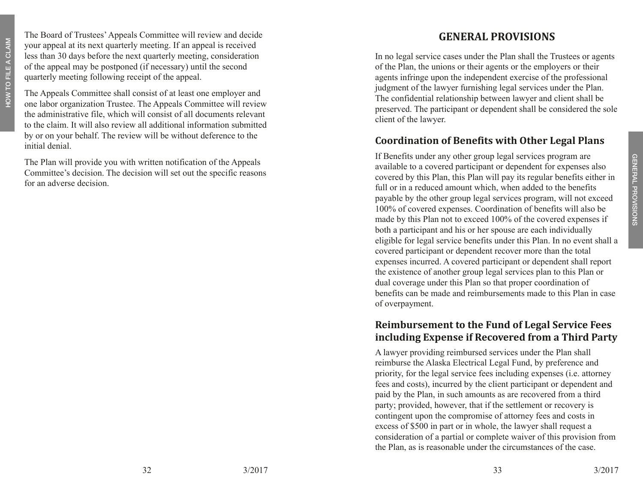The Board of Trustees' Appeals Committee will review and decide your appeal at its next quarterly meeting. If an appeal is received less than 30 days before the next quarterly meeting, consideration of the appeal may be postponed (if necessary) until the second quarterly meeting following receipt of the appeal.

The Appeals Committee shall consist of at least one employer and one labor organization Trustee. The Appeals Committee will review the administrative file, which will consist of all documents relevant to the claim. It will also review all additional information submitted by or on your behalf. The review will be without deference to the initial denial.

The Plan will provide you with written notification of the Appeals Committee's decision. The decision will set out the specific reasons for an adverse decision.

## **general provi sion s**

In no legal service cases under the Plan shall the Trustees or agents of the Plan, the unions or their agents or the employers or their agents infringe upon the independent exercise of the professional judgment of the lawyer furnishing legal services under the Plan. The confidential relationship between lawyer and client shall be preserved. The participant or dependent shall be considered the sole client of the lawyer.

## **Coordination of Benefits with Other Legal Plans**

If Benefits under any other group legal services program are available to a covered participant or dependent for expenses also covered by this Plan, this Plan will pay its regular benefits either in full or in a reduced amount which, when added to the benefits payable by the other group legal services program, will not exceed 100% of covered expenses. Coordination of benefits will also be made by this Plan not to exceed 100% of the covered expenses if both a participant and his or her spouse are each individually eligible for legal service benefits under this Plan. In no event shall a covered participant or dependent recover more than the total expenses incurred. A covered participant or dependent shall report the existence of another group legal services plan to this Plan or dual coverage under this Plan so that proper coordination of benefits can be made and reimbursements made to this Plan in case of overpayment.

#### **Reimbursement to the Fund of Legal Service Fees including Expense if Recovered from a Third Party**

A lawyer providing reimbursed services under the Plan shall reimburse the Alaska Electrical Legal Fund, by preference and priority, for the legal service fees including expenses (i.e. attorney fees and costs), incurred by the client participant or dependent and paid by the Plan, in such amounts as are recovered from a third party; provided, however, that if the settlement or recovery is contingent upon the compromise of attorney fees and costs in excess of \$500 in part or in whole, the lawyer shall request a consideration of a partial or complete waiver of this provision from the Plan, as is reasonable under the circumstances of the case.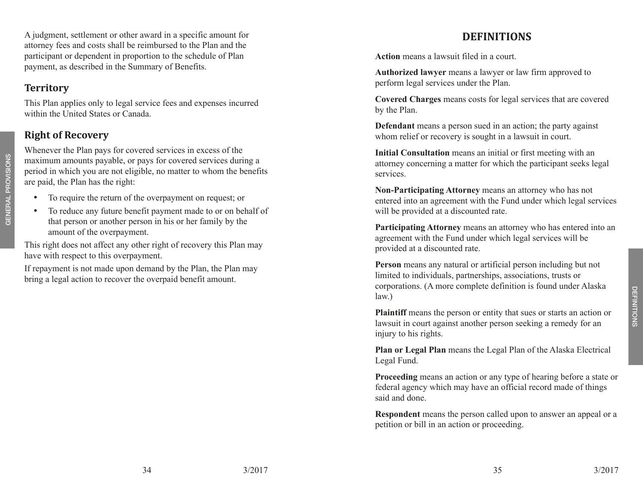defini

tions

A judgment, settlement or other award in a specific amount for attorney fees and costs shall be reimbursed to the Plan and the participant or dependent in proportion to the schedule of Plan payment, as described in the Summary of Benefits.

# **Territory**

This Plan applies only to legal service fees and expenses incurred within the United States or Canada.

# **Right of Recovery**

Whenever the Plan pays for covered services in excess of the maximum amounts payable, or pays for covered services during a period in which you are not eligible, no matter to whom the benefits are paid, the Plan has the right:

- GENERAL PROVISIONS general provisions
- To require the return of the overpayment on request; or
- To reduce any future benefit payment made to or on behalf of that person or another person in his or her family by the amount of the overpayment.

This right does not affect any other right of recovery this Plan may have with respect to this overpayment.

If repayment is not made upon demand by the Plan, the Plan may bring a legal action to recover the overpaid benefit amount.

# **Definitions**

**Action** means a lawsuit filed in a court.

**Authorized lawyer** means a lawyer or law firm approved to perform legal services under the Plan.

**Covered Charges** means costs for legal services that are covered by the Plan.

**Defendant** means a person sued in an action; the party against whom relief or recovery is sought in a lawsuit in court.

**Initial Consultation** means an initial or first meeting with an attorney concerning a matter for which the participant seeks legal services.

**Non-Participating Attorney** means an attorney who has not entered into an agreement with the Fund under which legal services will be provided at a discounted rate.

**Participating Attorney** means an attorney who has entered into an agreement with the Fund under which legal services will be provided at a discounted rate.

**Person** means any natural or artificial person including but not limited to individuals, partnerships, associations, trusts or corporations. (A more complete definition is found under Alaska law.)

**Plaintiff** means the person or entity that sues or starts an action or lawsuit in court against another person seeking a remedy for an injury to his rights.

**Plan or Legal Plan** means the Legal Plan of the Alaska Electrical Legal Fund.

**Proceeding** means an action or any type of hearing before a state or federal agency which may have an official record made of things said and done.

**Respondent** means the person called upon to answer an appeal or a petition or bill in an action or proceeding.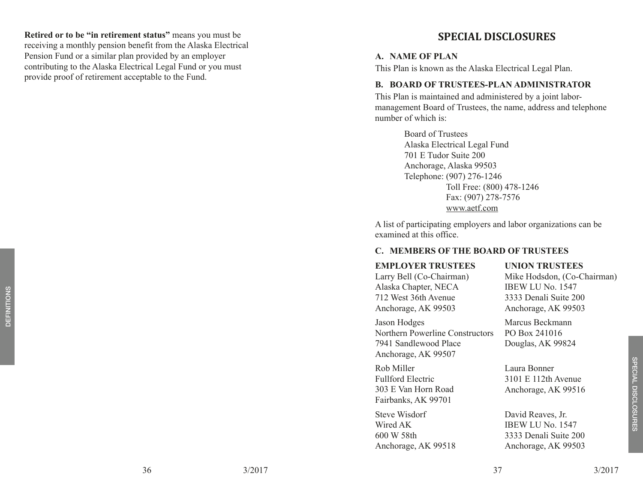**Retired or to be "in retirement status"** means you must be receiving a monthly pension benefit from the Alaska Electrical Pension Fund or a similar plan provided by an employer contributing to the Alaska Electrical Legal Fund or you must provide proof of retirement acceptable to the Fund.

#### **special disclosures**

#### **A. NAME OF PLAN**

This Plan is known as the Alaska Electrical Legal Plan.

#### **B. BOARD OF TRUSTEES-PLAN ADMINISTRATOR**

This Plan is maintained and administered by a joint labormanagement Board of Trustees, the name, address and telephone number of which is:

> Board of Trustees Alaska Electrical Legal Fund 701 E Tudor Suite 200 Anchorage, Alaska 99503 Telephone: (907) 276-1246 Toll Free: (800) 478-1246 Fax: (907) 278-7576 www.aetf.com

A list of participating employers and labor organizations can be examined at this office.

#### **C. MEMBERS OF THE BOARD OF TRUSTEES**

#### **EMPLOYER TRUSTEES** Larry Bell (Co-Chairman) Alaska Chapter, NECA 712 West 36th Avenue Anchorage, AK 99503 **UNION TRUSTEES** Mike Hodsdon, (Co-Chairman) IBEW LU No. 1547 3333 Denali Suite 200 Anchorage, AK 99503 Jason Hodges Northern Powerline Constructors 7941 Sandlewood Place Anchorage, AK 99507 Marcus Beckmann PO Box 241016 Douglas, AK 99824 Rob Miller Fullford Electric 303 E Van Horn Road Fairbanks, AK 99701 Laura Bonner 3101 E 112th Avenue Anchorage, AK 99516 Steve Wisdorf Wired AK 600 W 58th Anchorage, AK 99518 David Reaves, Jr. IBEW LU No. 1547 3333 Denali Suite 200 Anchorage, AK 99503

DEFINI

tions